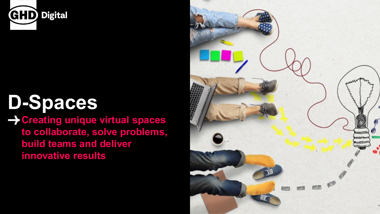

# **D-Spaces**

**Creating unique virtual spaces to collaborate, solve problems, build teams and deliver innovative results**

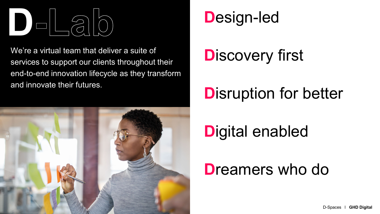

We're a virtual team that deliver a suite of services to support our clients throughout their end-to-end innovation lifecycle as they transform and innovate their futures.



### **D**esign-led

## **D**iscovery first

### **D**isruption for better

## **D**igital enabled

### **D**reamers who do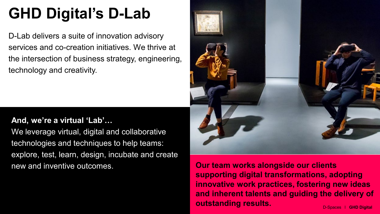## **GHD Digital's D-Lab**

D-Lab delivers a suite of innovation advisory services and co-creation initiatives. We thrive at the intersection of business strategy, engineering, technology and creativity.

#### **And, we're a virtual 'Lab'…**

We leverage virtual, digital and collaborative technologies and techniques to help teams: explore, test, learn, design, incubate and create new and inventive outcomes.



**Our team works alongside our clients supporting digital transformations, adopting innovative work practices, fostering new ideas and inherent talents and guiding the delivery of outstanding results.** D-Spaces I GHD Digital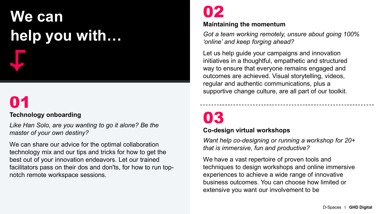## **We can help you with…**

## 01

#### **Technology onboarding**

*Like Han Solo, are you wanting to go it alone? Be the master of your own destiny?*

We can share our advice for the optimal collaboration technology mix and our tips and tricks for how to get the best out of your innovation endeavors. Let our trained facilitators pass on their dos and don'ts, for how to run topnotch remote workspace sessions.

### 02

#### **Maintaining the momentum**

*Got a team working remotely, unsure about going 100% 'online' and keep forging ahead?* 

Let us help guide your campaigns and innovation initiatives in a thoughtful, empathetic and structured way to ensure that everyone remains engaged and outcomes are achieved. Visual storytelling, videos, regular and authentic communications, plus a supportive change culture, are all part of our toolkit.

### 03

#### **Co-design virtual workshops**

*Want help co-designing or running a workshop for 20+ that is immersive, fun and productive?* 

We have a vast repertoire of proven tools and techniques to design workshops and online immersive experiences to achieve a wide range of innovative business outcomes. You can choose how limited or extensive you want our involvement to be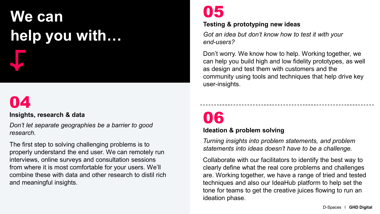# **We can help you with…**



#### **Insights, research & data**

*Don't let separate geographies be a barrier to good research.*

The first step to solving challenging problems is to properly understand the end user. We can remotely run interviews, online surveys and consultation sessions from where it is most comfortable for your users. We'll combine these with data and other research to distil rich and meaningful insights.

### 05

#### **Testing & prototyping new ideas**

*Got an idea but don't know how to test it with your end-users?*

Don't worry. We know how to help. Working together, we can help you build high and low fidelity prototypes, as well as design and test them with customers and the community using tools and techniques that help drive key user-insights.

### 06

#### **Ideation & problem solving**

*Turning insights into problem statements, and problem statements into ideas doesn't have to be a challenge.*

Collaborate with our facilitators to identify the best way to clearly define what the real core problems and challenges are. Working together, we have a range of tried and tested techniques and also our IdeaHub platform to help set the tone for teams to get the creative juices flowing to run an ideation phase.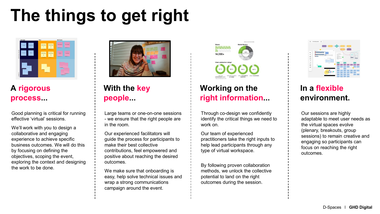## **The things to get right**



#### **A rigorous process...**

Good planning is critical for running effective 'virtual' sessions.

We'll work with you to design a collaborative and engaging experience to achieve specific business outcomes. We will do this by focusing on defining the objectives, scoping the event, exploring the context and designing the work to be done.



#### **With the key people...**

Large teams or one-on-one sessions - we ensure that the right people are in the room.

Our experienced facilitators will guide the process for participants to make their best collective contributions, feel empowered and positive about reaching the desired outcomes.

We make sure that onboarding is easy, help solve technical issues and wrap a strong communications campaign around the event.



#### **Working on the right information...**

Through co-design we confidently identify the critical things we need to work on.

Our team of experienced practitioners take the right inputs to help lead participants through any type of virtual workspace.

By following proven collaboration methods, we unlock the collective potential to land on the right outcomes during the session.



#### **In a flexible environment.**

Our sessions are highly adaptable to meet user needs as the virtual spaces evolve (plenary, breakouts, group sessions) to remain creative and engaging so participants can focus on reaching the right outcomes.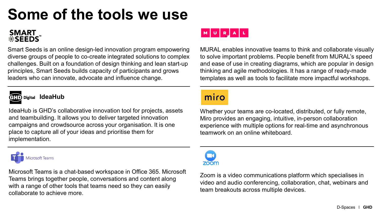### **Some of the tools we use**

### **SMART<br>\*SEEDS**

Smart Seeds is an online design-led innovation program empowering diverse groups of people to co-create integrated solutions to complex challenges. Built on a foundation of design thinking and lean start-up principles, Smart Seeds builds capacity of participants and grows leaders who can innovate, advocate and influence change.



**Digital IdeaHub** 

IdeaHub is GHD's collaborative innovation tool for projects, assets and teambuilding. It allows you to deliver targeted innovation campaigns and crowdsource across your organisation. It is one place to capture all of your ideas and prioritise them for implementation.



Microsoft Teams is a chat-based workspace in Office 365. Microsoft Teams brings together people, conversations and content along with a range of other tools that teams need so they can easily collaborate to achieve more.



MURAL enables innovative teams to think and collaborate visually to solve important problems. People benefit from MURAL's speed and ease of use in creating diagrams, which are popular in design thinking and agile methodologies. It has a range of ready-made templates as well as tools to facilitate more impactful workshops.

#### miro

Whether your teams are co-located, distributed, or fully remote, Miro provides an engaging, intuitive, in-person collaboration experience with multiple options for real-time and asynchronous teamwork on an online whiteboard.



Zoom is a video communications platform which specialises in video and audio conferencing, collaboration, chat, webinars and team breakouts across multiple devices.